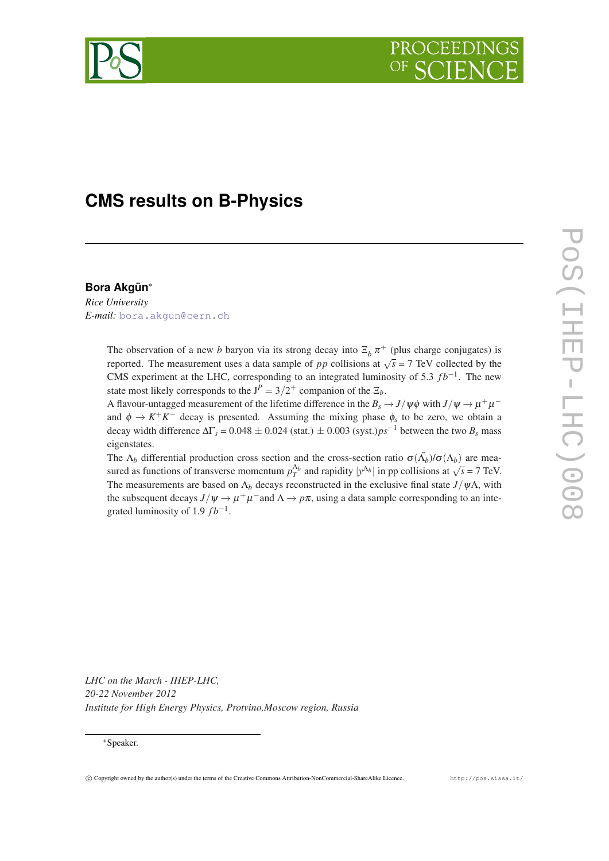

# **CMS results on B-Physics**

### **Bora Akgün**<sup>∗</sup>

*Rice University E-mail:* [bora.akgun@cern.ch](mailto:bora.akgun@cern.ch)

> The observation of a new *b* baryon via its strong decay into  $\Xi_b^-\pi^+$  (plus charge conjugates) is reported. The measurement uses a data sample of *pp* collisions at  $\sqrt{s} = 7$  TeV collected by the CMS experiment at the LHC, corresponding to an integrated luminosity of 5.3  $fb^{-1}$ . The new state most likely corresponds to the  $J^P = 3/2^+$  companion of the  $\Xi_b$ .

> A flavour-untagged measurement of the lifetime difference in the  $B_s \to J/\psi \phi$  with  $J/\psi \to \mu^+ \mu^$ and  $\phi \to K^+K^-$  decay is presented. Assuming the mixing phase  $\phi_s$  to be zero, we obtain a decay width difference  $\Delta\Gamma_s = 0.048 \pm 0.024$  (stat.)  $\pm 0.003$  (syst.)*ps*<sup>-1</sup> between the two *B<sub>s</sub>* mass eigenstates.

> The  $\Lambda_b$  differential production cross section and the cross-section ratio  $\sigma(\bar{\Lambda}_b)/\sigma(\Lambda_b)$  are measured as functions of transverse momentum  $p_T^{\Delta_b}$  and rapidity  $|y^{\Delta_b}|$  in pp collisions at  $\sqrt{s} = 7$  TeV. The measurements are based on  $\Lambda_b$  decays reconstructed in the exclusive final state  $J/\psi\Lambda$ , with the subsequent decays  $J/\psi \to \mu^+\mu^-$  and  $\Lambda \to p\pi$ , using a data sample corresponding to an integrated luminosity of 1.9  $fb^{-1}$ .

*LHC on the March - IHEP-LHC, 20-22 November 2012 Institute for High Energy Physics, Protvino,Moscow region, Russia*

#### <sup>∗</sup>Speaker.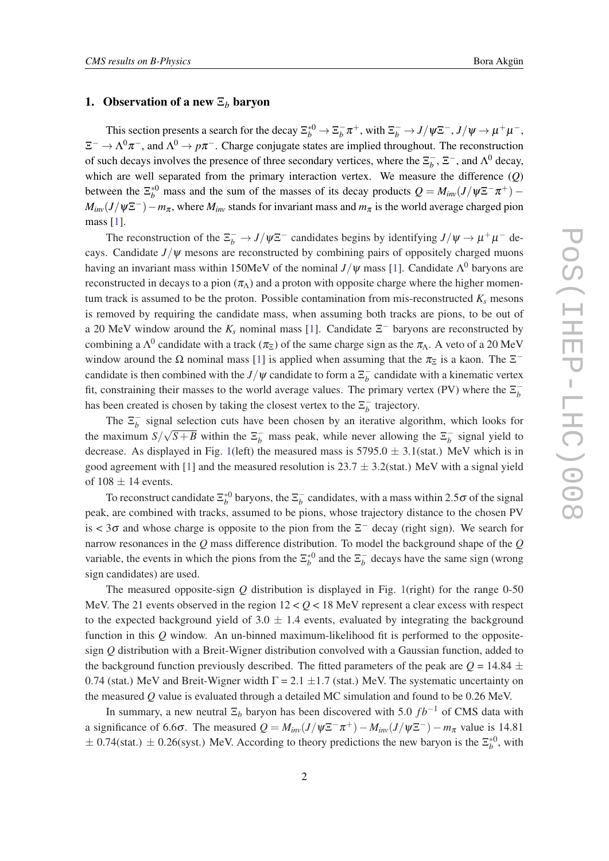#### 1. Observation of a new  $\Xi_b$  baryon

This section presents a search for the decay  $\Xi_b^{*0} \to \Xi_b^ \frac{1}{b} \pi^+$ , with  $\Xi_b^- \to J/\psi \Xi^-$ ,  $J/\psi \to \mu^+ \mu^-$ ,  $\Xi^- \to \Lambda^0 \pi^-$ , and  $\Lambda^0 \to p \pi^-$ . Charge conjugate states are implied throughout. The reconstruction of such decays involves the presence of three secondary vertices, where the  $\overline{\Sigma}_{h}^{-1}$  $\overline{b}$ ,  $\Xi^-$ , and  $\Lambda^0$  decay, which are well separated from the primary interaction vertex. We measure the difference (*Q*) between the  $\Xi_b^{*0}$  mass and the sum of the masses of its decay products  $Q = M_{inv}(J/\psi \Xi^- \pi^+)$  $M_{inv}(J/\psi \Xi^{-}) - m_{\pi}$ , where  $M_{inv}$  stands for invariant mass and  $m_{\pi}$  is the world average charged pion mass [[1\]](#page-6-0).

The reconstruction of the  $\Xi_b^- \to J/\psi \Xi^-$  candidates begins by identifying  $J/\psi \to \mu^+\mu^-$  decays. Candidate  $J/\psi$  mesons are reconstructed by combining pairs of oppositely charged muons having an invariant mass within [1](#page-6-0)50MeV of the nominal  $J/\psi$  mass [1]. Candidate  $\Lambda^0$  baryons are reconstructed in decays to a pion  $(\pi_{\Lambda})$  and a proton with opposite charge where the higher momentum track is assumed to be the proton. Possible contamination from mis-reconstructed  $K_s$  mesons is removed by requiring the candidate mass, when assuming both tracks are pions, to be out of a 20 MeV window around the  $K_s$  nominal mass [\[1\]](#page-6-0). Candidate  $\Xi^-$  baryons are reconstructed by combining a  $\Lambda^0$  candidate with a track  $(\pi_{\Xi})$  of the same charge sign as the  $\pi_{\Lambda}$ . A veto of a 20 MeV window around the  $\Omega$  nominal mass [[1](#page-6-0)] is applied when assuming that the  $\pi_{\Xi}$  is a kaon. The  $\Xi^$ candidate is then combined with the *J*/ $\psi$  candidate to form a  $\overline{\Sigma}_{b}^{-1}$  $\bar{b}$  candidate with a kinematic vertex fit, constraining their masses to the world average values. The primary vertex (PV) where the  $\overline{\Sigma}_{b}^{-1}$ *b* has been created is chosen by taking the closest vertex to the  $\overline{\Sigma}_{h}^{-1}$  $\overline{b}$  trajectory.

The  $\Xi_b^ \overline{b}$  signal selection cuts have been chosen by an iterative algorithm, which looks for the maximum  $S/\sqrt{S+B}$  within the  $\Xi_b^-$  mass peak, while never allowing the  $\Xi_b^ \bar{b}$  signal yield to decrease. As displayed in Fig. [1\(](#page-2-0)left) the measured mass is  $5795.0 \pm 3.1$ (stat.) MeV which is in good agreement with [\[1\]](#page-6-0) and the measured resolution is  $23.7 \pm 3.2$ (stat.) MeV with a signal yield of  $108 \pm 14$  events.

To reconstruct candidate  $\Xi_b^{*0}$  baryons, the  $\Xi_b^ <sub>b</sub>$  candidates, with a mass within 2.5 $\sigma$  of the signal</sub> peak, are combined with tracks, assumed to be pions, whose trajectory distance to the chosen PV is <  $3\sigma$  and whose charge is opposite to the pion from the  $\Xi^-$  decay (right sign). We search for narrow resonances in the *Q* mass difference distribution. To model the background shape of the *Q* variable, the events in which the pions from the  $\Xi_b^{*0}$  and the  $\Xi_b^ <sub>b</sub><sup>-</sup>$  decays have the same sign (wrong</sub> sign candidates) are used.

The measured opposite-sign *Q* distribution is displayed in Fig. [1](#page-2-0)(right) for the range 0-50 MeV. The 21 events observed in the region  $12 < Q < 18$  MeV represent a clear excess with respect to the expected background yield of  $3.0 \pm 1.4$  events, evaluated by integrating the background function in this *Q* window. An un-binned maximum-likelihood fit is performed to the oppositesign *Q* distribution with a Breit-Wigner distribution convolved with a Gaussian function, added to the background function previously described. The fitted parameters of the peak are  $Q = 14.84 \pm 10^{-10}$ 0.74 (stat.) MeV and Breit-Wigner width  $\Gamma = 2.1 \pm 1.7$  (stat.) MeV. The systematic uncertainty on the measured *Q* value is evaluated through a detailed MC simulation and found to be 0.26 MeV.

In summary, a new neutral  $\Xi_b$  baryon has been discovered with 5.0 *fb*<sup>−1</sup> of CMS data with a significance of 6.6 $\sigma$ . The measured  $Q = M_{inv}(J/\psi \Xi^- \pi^+) - M_{inv}(J/\psi \Xi^-) - m_{\pi}$  value is 14.81  $\pm$  0.74(stat.)  $\pm$  0.26(syst.) MeV. According to theory predictions the new baryon is the  $\Xi_b^{*0}$ , with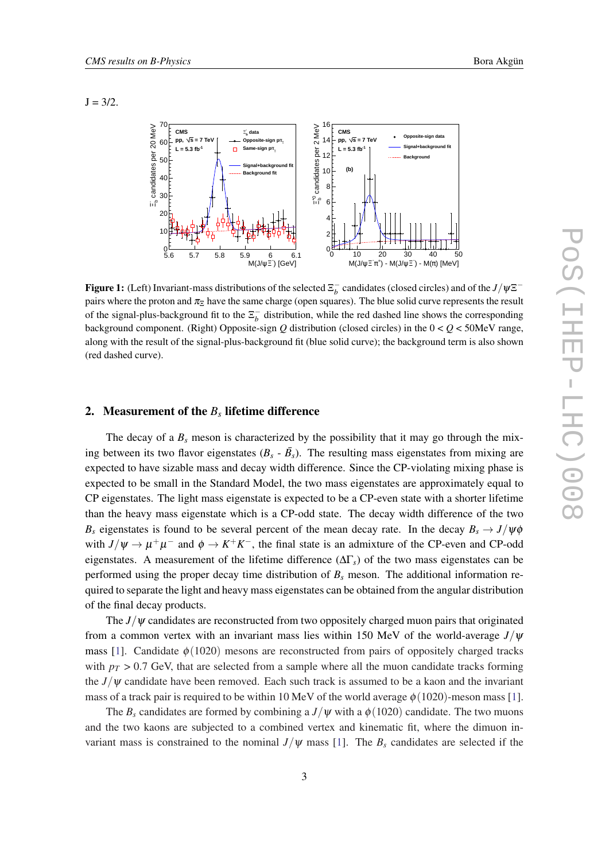<span id="page-2-0"></span> $J = 3/2$ .



Figure 1: (Left) Invariant-mass distributions of the selected  $\Xi_b^-$  candidates (closed circles) and of the *J*/ $\psi \Xi^$ pairs where the proton and  $\pi_{\overline{z}}$  have the same charge (open squares). The blue solid curve represents the result of the signal-plus-background fit to the  $\overline{\Sigma_b}$  distribution, while the red dashed line shows the corresponding background component. (Right) Opposite-sign  $Q$  distribution (closed circles) in the  $0 < Q < 50$ MeV range, along with the result of the signal-plus-background fit (blue solid curve); the background term is also shown (red dashed curve).

## 2. Measurement of the *B<sup>s</sup>* lifetime difference

The decay of a  $B_s$  meson is characterized by the possibility that it may go through the mixing between its two flavor eigenstates  $(B_s - \bar{B}_s)$ . The resulting mass eigenstates from mixing are expected to have sizable mass and decay width difference. Since the CP-violating mixing phase is expected to be small in the Standard Model, the two mass eigenstates are approximately equal to CP eigenstates. The light mass eigenstate is expected to be a CP-even state with a shorter lifetime than the heavy mass eigenstate which is a CP-odd state. The decay width difference of the two *B<sub>s</sub>* eigenstates is found to be several percent of the mean decay rate. In the decay  $B_s \rightarrow J/\psi \phi$ with  $J/\psi \rightarrow \mu^+\mu^-$  and  $\phi \rightarrow K^+K^-$ , the final state is an admixture of the CP-even and CP-odd eigenstates. A measurement of the lifetime difference ( $\Delta\Gamma$ <sub>s</sub>) of the two mass eigenstates can be performed using the proper decay time distribution of  $B<sub>s</sub>$  meson. The additional information required to separate the light and heavy mass eigenstates can be obtained from the angular distribution of the final decay products.

The  $J/\psi$  candidates are reconstructed from two oppositely charged muon pairs that originated from a common vertex with an invariant mass lies within 150 MeV of the world-average *J*/ψ mass [[1\]](#page-6-0). Candidate  $\phi(1020)$  mesons are reconstructed from pairs of oppositely charged tracks with  $p_T > 0.7$  GeV, that are selected from a sample where all the muon candidate tracks forming the  $J/\psi$  candidate have been removed. Each such track is assumed to be a kaon and the invariant mass of a track pair is required to be within 10 MeV of the world average  $\phi(1020)$ -meson mass [\[1\]](#page-6-0).

The  $B_s$  candidates are formed by combining a  $J/\psi$  with a  $\phi$  (1020) candidate. The two muons and the two kaons are subjected to a combined vertex and kinematic fit, where the dimuon invariant mass is constrained to the nominal  $J/\psi$  mass [\[1\]](#page-6-0). The  $B_s$  candidates are selected if the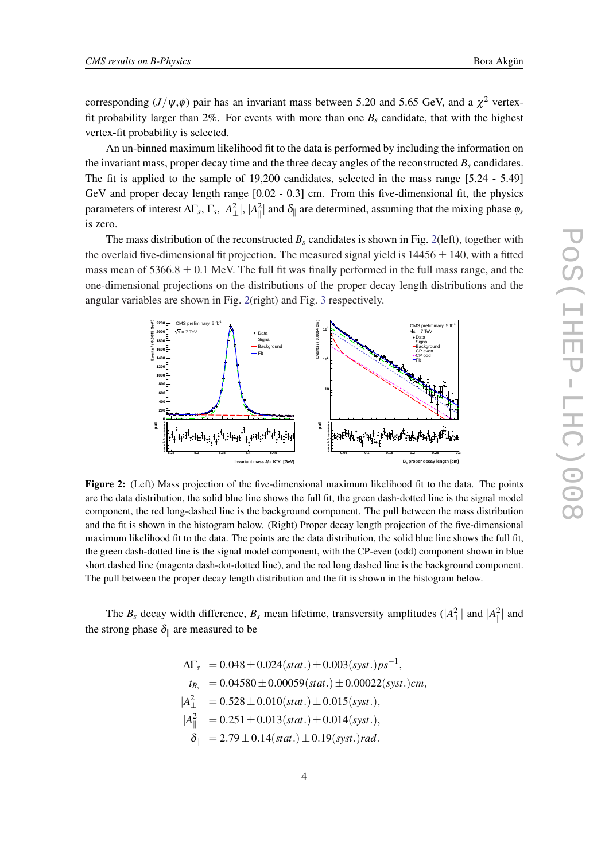corresponding  $(J/\psi,\phi)$  pair has an invariant mass between 5.20 and 5.65 GeV, and a  $\chi^2$  vertexfit probability larger than 2%. For events with more than one  $B_s$  candidate, that with the highest vertex-fit probability is selected.

An un-binned maximum likelihood fit to the data is performed by including the information on the invariant mass, proper decay time and the three decay angles of the reconstructed  $B_s$  candidates. The fit is applied to the sample of 19,200 candidates, selected in the mass range [5.24 - 5.49] GeV and proper decay length range [0.02 - 0.3] cm. From this five-dimensional fit, the physics parameters of interest ΔΓ<sub>*s*</sub>, Γ<sub>*s*</sub>,  $|A_{\perp}^2|$ ,  $|A_{\parallel}^2|$  and  $\delta_{\parallel}$  are determined, assuming that the mixing phase  $\phi_s$ is zero.

The mass distribution of the reconstructed  $B_s$  candidates is shown in Fig. 2(left), together with the overlaid five-dimensional fit projection. The measured signal yield is  $14456 \pm 140$ , with a fitted mass mean of  $5366.8 \pm 0.1$  MeV. The full fit was finally performed in the full mass range, and the one-dimensional projections on the distributions of the proper decay length distributions and the angular variables are shown in Fig. 2(right) and Fig. [3](#page-4-0) respectively.



and the fit is shown in the histogram below. (Right) Proper decay length projection of the five-dimensional Figure 2: (Left) Mass projection of the five-dimensional maximum likelihood fit to the data. The points are the data distribution, the solid blue line shows the full fit, the green dash-dotted line is the signal model component, the red long-dashed line is the background component. The pull between the mass distribution maximum likelihood fit to the data. The points are the data distribution, the solid blue line shows the full fit, the green dash-dotted line is the signal model component, with the CP-even (odd) component shown in blue short dashed line (magenta dash-dot-dotted line), and the red long dashed line is the background component. The pull between the proper decay length distribution and the fit is shown in the histogram below.

The  $B_s$  decay width difference,  $B_s$  mean lifetime, transversity amplitudes ( $|A_\perp^2|$  and  $|A_\parallel^2|$  and the strong phase  $\delta_{\parallel}$  are measured to be

$$
\Delta\Gamma_s = 0.048 \pm 0.024(stat.) \pm 0.003(syst.)ps^{-1},
$$
  
\n $t_{B_s} = 0.04580 \pm 0.00059(stat.) \pm 0.00022(syst.)cm,$   
\n $|A_{\perp}^2| = 0.528 \pm 0.010(stat.) \pm 0.015(syst.),$   
\n $|A_{\parallel}^2| = 0.251 \pm 0.013(stat.) \pm 0.014(syst.),$   
\n $\delta_{\parallel} = 2.79 \pm 0.14(stat.) \pm 0.19(syst.)rad.$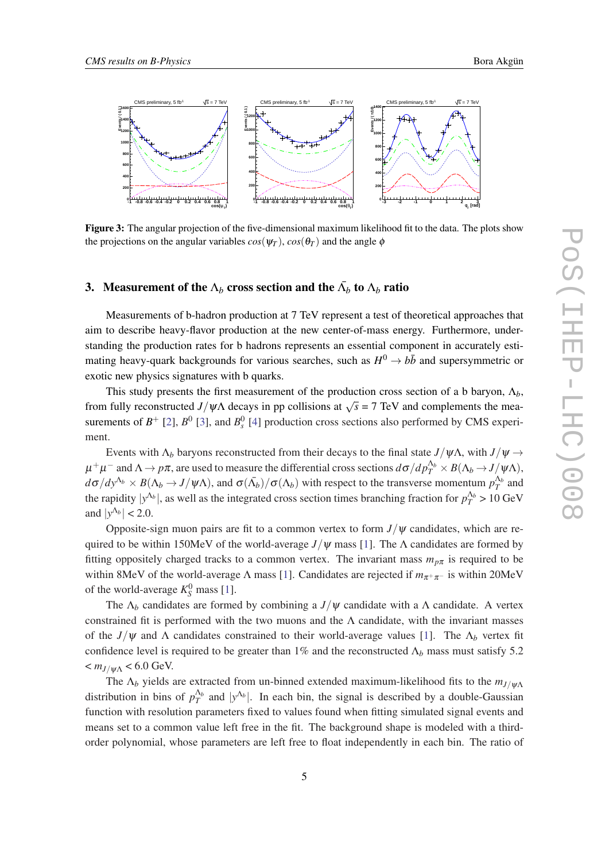<span id="page-4-0"></span>

Figure 3: The angular projection of the five-dimensional maximum likelihood fit to the data. The plots show the projections on the angular variables  $cos(\psi_T)$ ,  $cos(\theta_T)$  and the angle  $\phi$ 

# 3. Measurement of the  $\Lambda_b$  cross section and the  $\bar{\Lambda_b}$  to  $\Lambda_b$  ratio

Measurements of b-hadron production at 7 TeV represent a test of theoretical approaches that aim to describe heavy-flavor production at the new center-of-mass energy. Furthermore, understanding the production rates for b hadrons represents an essential component in accurately estimating heavy-quark backgrounds for various searches, such as  $H^0 \to b\bar{b}$  and supersymmetric or exotic new physics signatures with b quarks.

This study presents the first measurement of the production cross section of a b baryon, Λ*b*, from fully reconstructed *J*/ $\psi\Lambda$  decays in pp collisions at  $\sqrt{s} = 7$  TeV and complements the measurements of  $B^+$  [[2](#page-6-0)],  $B^0$  [\[3\]](#page-6-0), and  $B_s^0$  [[4\]](#page-6-0) production cross sections also performed by CMS experiment.

Events with  $\Lambda_b$  baryons reconstructed from their decays to the final state  $J/\psi\Lambda$ , with  $J/\psi \rightarrow$  $\mu^+\mu^-$  and  $Λ \to pπ$ , are used to measure the differential cross sections  $dσ/dp_T^{\Lambda_b}\times B(\Lambda_b\to J/\psi\Lambda),$ *d*σ/*dy*<sup>Λ*b*</sup> × *B*(Λ*b* → *J*/ψΛ), and σ( $\bar{Λ}_b$ )/σ(Λ*b*) with respect to the transverse momentum  $p_T^{\Lambda_b}$  and the rapidity  $|y^{\Lambda_b}|$ , as well as the integrated cross section times branching fraction for  $p_T^{\Lambda_b} > 10 \text{ GeV}$ and  $|y^{\Lambda_b}| < 2.0$ .

Opposite-sign muon pairs are fit to a common vertex to form  $J/\psi$  candidates, which are required to be within 150MeV of the world-average  $J/\psi$  mass [\[1\]](#page-6-0). The  $\Lambda$  candidates are formed by fitting oppositely charged tracks to a common vertex. The invariant mass  $m_{p\pi}$  is required to be within 8MeV of the world-average Λ mass [[1](#page-6-0)]. Candidates are rejected if  $m_{π<sup>+</sup>π<sup>-</sup>}$  is within 20MeV of the world-average  $K_S^0$  mass [[1](#page-6-0)].

The  $\Lambda_b$  candidates are formed by combining a  $J/\psi$  candidate with a  $\Lambda$  candidate. A vertex constrained fit is performed with the two muons and the  $\Lambda$  candidate, with the invariant masses of the  $J/\psi$  and  $\Lambda$  candidates constrained to their world-average values [\[1\]](#page-6-0). The  $\Lambda_b$  vertex fit confidence level is required to be greater than 1% and the reconstructed  $\Lambda_b$  mass must satisfy 5.2  $<$   $m_{J/\nu\Lambda}$  < 6.0 GeV.

The  $\Lambda_b$  yields are extracted from un-binned extended maximum-likelihood fits to the  $m_{J/\psi\Lambda}$ distribution in bins of  $p_T^{\Lambda_b}$  and  $|y^{\Lambda_b}|$ . In each bin, the signal is described by a double-Gaussian function with resolution parameters fixed to values found when fitting simulated signal events and means set to a common value left free in the fit. The background shape is modeled with a thirdorder polynomial, whose parameters are left free to float independently in each bin. The ratio of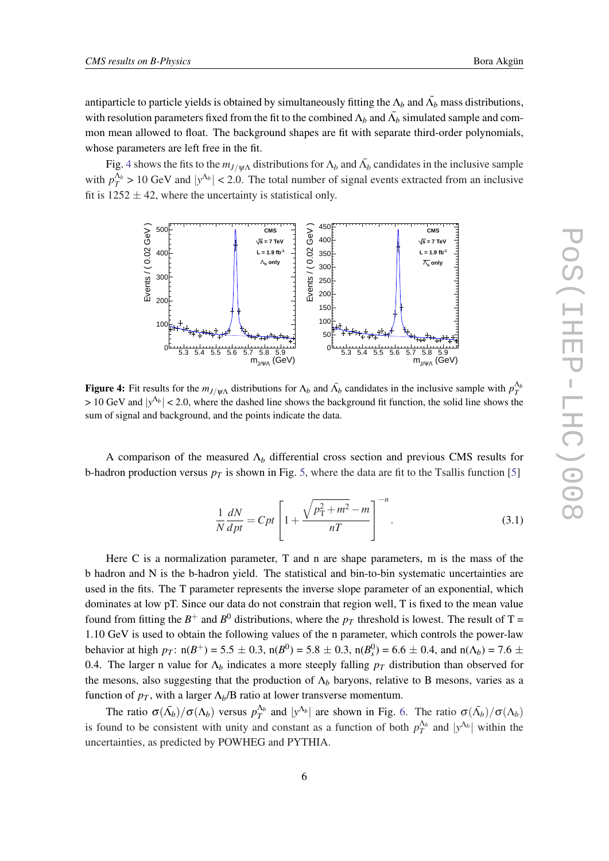antiparticle to particle yields is obtained by simultaneously fitting the  $\Lambda_b$  and  $\bar{\Lambda_b}$  mass distributions, with resolution parameters fixed from the fit to the combined  $\Lambda_b$  and  $\bar{\Lambda_b}$  simulated sample and common mean allowed to float. The background shapes are fit with separate third-order polynomials, whose parameters are left free in the fit.

Fig. 4 shows the fits to the  $m_{J/\psi\Lambda}$  distributions for  $\Lambda_b$  and  $\bar{\Lambda}_b$  candidates in the inclusive sample with  $p_T^{\Lambda_b} > 10$  GeV and  $|y^{\Lambda_b}| < 2.0$ . The total number of signal events extracted from an inclusive fit is  $1252 \pm 42$ , where the uncertainty is statistical only.



Figure 4: Fit results for the  $m_{J/\psi\Lambda}$  distributions for  $\Lambda_b$  and  $\bar{\Lambda}_b$  candidates in the inclusive sample with  $p_T^{\Lambda_b}$  $> 10$  GeV and  $|y^{\Lambda_b}| < 2.0$ , where the dashed line shows the background fit function, the solid line shows the sum of signal and background, and the points indicate the data.

A comparison of the measured Λ*<sup>b</sup>* differential cross section and previous CMS results for b-hadron production versus  $p_T$  is shown in Fig. [5](#page-6-0), where the data are fit to the Tsallis function [5]

$$
\frac{1}{N}\frac{dN}{dpt} = Cpt \left[ 1 + \frac{\sqrt{p_{\rm T}^2 + m^2} - m}{nT} \right]^{-n}.
$$
\n(3.1)

Here C is a normalization parameter, T and n are shape parameters, m is the mass of the b hadron and N is the b-hadron yield. The statistical and bin-to-bin systematic uncertainties are used in the fits. The T parameter represents the inverse slope parameter of an exponential, which dominates at low pT. Since our data do not constrain that region well, T is fixed to the mean value found from fitting the  $B^+$  and  $B^0$  distributions, where the  $p_T$  threshold is lowest. The result of T = 1.10 GeV is used to obtain the following values of the n parameter, which controls the power-law behavior at high  $p_T$ : n( $B^+$ ) = 5.5  $\pm$  0.3, n( $B^0$ ) = 5.8  $\pm$  0.3, n( $B_s^0$ ) = 6.6  $\pm$  0.4, and n( $\Lambda_b$ ) = 7.6  $\pm$ 0.4. The larger n value for  $\Lambda_b$  indicates a more steeply falling  $p_T$  distribution than observed for the mesons, also suggesting that the production of  $\Lambda_b$  baryons, relative to B mesons, varies as a function of  $p_T$ , with a larger  $\Lambda_b/B$  ratio at lower transverse momentum.

The ratio  $\sigma(\bar{\Lambda}_b)/\sigma(\Lambda_b)$  versus  $p_T^{\Lambda_b}$  and  $|y^{\Lambda_b}|$  are shown in Fig. [6](#page-6-0). The ratio  $\sigma(\bar{\Lambda}_b)/\sigma(\Lambda_b)$ is found to be consistent with unity and constant as a function of both  $p_T^{\Lambda_b}$  and  $|y^{\Lambda_b}|$  within the uncertainties, as predicted by POWHEG and PYTHIA.